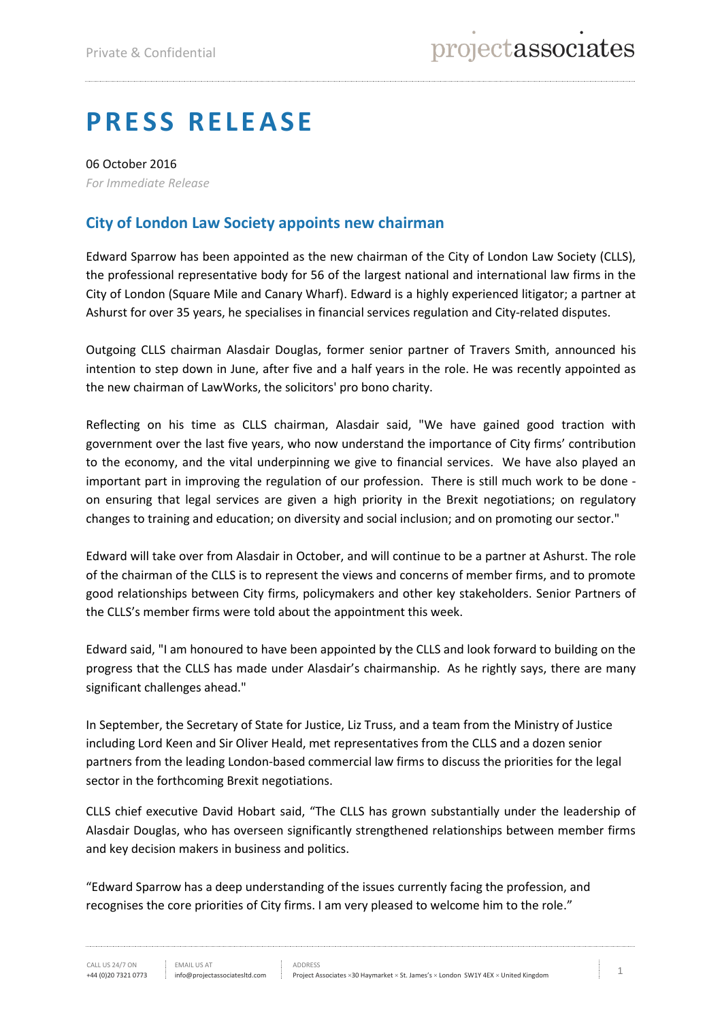## **PRESS RELEASE**

06 October 2016 *For Immediate Release*

## **City of London Law Society appoints new chairman**

Edward Sparrow has been appointed as the new chairman of the City of London Law Society (CLLS), the professional representative body for 56 of the largest national and international law firms in the City of London (Square Mile and Canary Wharf). Edward is a highly experienced litigator; a partner at Ashurst for over 35 years, he specialises in financial services regulation and City-related disputes.

Outgoing CLLS chairman Alasdair Douglas, former senior partner of Travers Smith, announced his intention to step down in June, after five and a half years in the role. He was recently appointed as the new chairman of LawWorks, the solicitors' pro bono charity.

Reflecting on his time as CLLS chairman, Alasdair said, "We have gained good traction with government over the last five years, who now understand the importance of City firms' contribution to the economy, and the vital underpinning we give to financial services. We have also played an important part in improving the regulation of our profession. There is still much work to be done on ensuring that legal services are given a high priority in the Brexit negotiations; on regulatory changes to training and education; on diversity and social inclusion; and on promoting our sector."

Edward will take over from Alasdair in October, and will continue to be a partner at Ashurst. The role of the chairman of the CLLS is to represent the views and concerns of member firms, and to promote good relationships between City firms, policymakers and other key stakeholders. Senior Partners of the CLLS's member firms were told about the appointment this week.

Edward said, "I am honoured to have been appointed by the CLLS and look forward to building on the progress that the CLLS has made under Alasdair's chairmanship. As he rightly says, there are many significant challenges ahead."

In September, the Secretary of State for Justice, Liz Truss, and a team from the Ministry of Justice including Lord Keen and Sir Oliver Heald, met representatives from the CLLS and a dozen senior partners from the leading London-based commercial law firms to discuss the priorities for the legal sector in the forthcoming Brexit negotiations.

CLLS chief executive David Hobart said, "The CLLS has grown substantially under the leadership of Alasdair Douglas, who has overseen significantly strengthened relationships between member firms and key decision makers in business and politics.

"Edward Sparrow has a deep understanding of the issues currently facing the profession, and recognises the core priorities of City firms. I am very pleased to welcome him to the role."